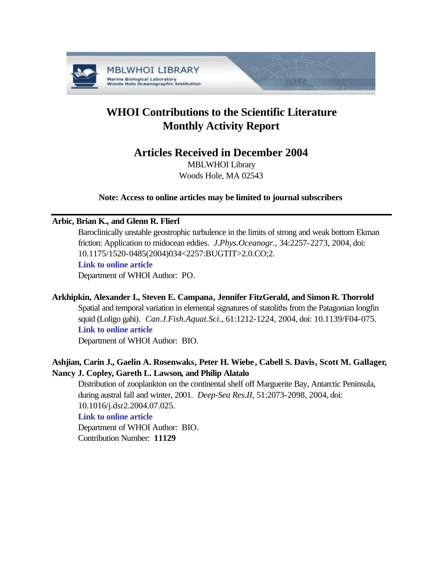

# **WHOI Contributions to the Scientific Literature Monthly Activity Report**

## **Articles Received in December 2004**

MBLWHOI Library Woods Hole, MA 02543

**Note: Access to online articles may be limited to journal subscribers**

## **Arbic, Brian K., and Glenn R. Flierl**

Baroclinically unstable geostrophic turbulence in the limits of strong and weak bottom Ekman friction: Application to midocean eddies. *J.Phys.Oceanogr.*, 34:2257-2273, 2004, doi: 10.1175/1520-0485(2004)034<2257:BUGTIT>2.0.CO;2.

## **[Link to online article](http://dx.doi.org/10.1175/1520-0485(2004)034<2257:BUGTIT>2.0.CO;2)**

Department of WHOI Author: PO.

## **Arkhipkin, Alexander I., Steven E. Campana, Jennifer FitzGerald, and Simon R. Thorrold**

Spatial and temporal variation in elemental signatures of statoliths from the Patagonian longfin squid (Loligo gahi). *Can.J.Fish.Aquat.Sci.*, 61:1212-1224, 2004, doi: 10.1139/F04-075. **[Link to online article](http://dx.doi.org/10.1139/F04-075)**

Department of WHOI Author: BIO.

## **Ashjian, Carin J., Gaelin A. Rosenwaks, Peter H. Wiebe, Cabell S. Davis, Scott M. Gallager, Nancy J. Copley, Gareth L. Lawson, and Philip Alatalo**

Distribution of zooplankton on the continental shelf off Marguerite Bay, Antarctic Peninsula, during austral fall and winter, 2001. *Deep-Sea Res.II*, 51:2073-2098, 2004, doi: 10.1016/j.dsr2.2004.07.025. **[Link to online article](http://dx.doi.org/10.1016/j.dsr2.2004.07.025)**

Department of WHOI Author: BIO. Contribution Number: **11129**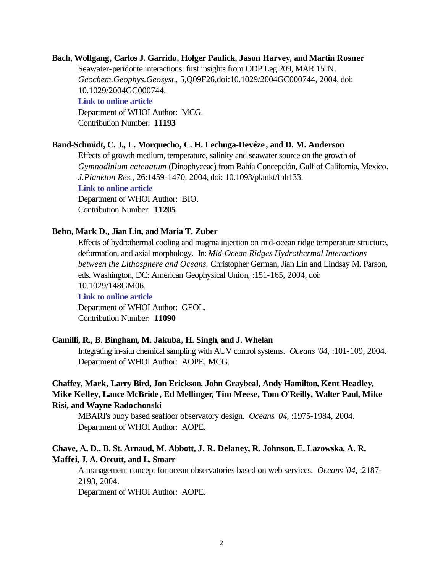## **Bach, Wolfgang, Carlos J. Garrido, Holger Paulick, Jason Harvey, and Martin Rosner** Seawater-peridotite interactions: first insights from ODP Leg 209, MAR 15°N. *Geochem.Geophys.Geosyst.*, 5,Q09F26,doi:10.1029/2004GC000744, 2004, doi: 10.1029/2004GC000744. **[Link to online article](http://dx.doi.org/10.1029/2004GC000744)** Department of WHOI Author: MCG.

Contribution Number: **11193**

### **Band-Schmidt, C. J., L. Morquecho, C. H. Lechuga-Devéze , and D. M. Anderson**

Effects of growth medium, temperature, salinity and seawater source on the growth of *Gymnodinium catenatum* (Dinophyceae) from Bahía Concepción, Gulf of California, Mexico. *J.Plankton Res.*, 26:1459-1470, 2004, doi: 10.1093/plankt/fbh133. **[Link to online article](http://dx.doi.org/10.1093/plankt/fbh133)** Department of WHOI Author: BIO. Contribution Number: **11205**

### **Behn, Mark D., Jian Lin, and Maria T. Zuber**

Effects of hydrothermal cooling and magma injection on mid-ocean ridge temperature structure, deformation, and axial morphology. In: *Mid-Ocean Ridges Hydrothermal Interactions between the Lithosphere and Oceans.* Christopher German, Jian Lin and Lindsay M. Parson, eds. Washington, DC: American Geophysical Union, :151-165, 2004, doi: 10.1029/148GM06. **[Link to online article](http://dx.doi.org10.1029/148GM06)** Department of WHOI Author: GEOL. Contribution Number: **11090**

### **Camilli, R., B. Bingham, M. Jakuba, H. Singh, and J. Whelan**

Integrating in-situ chemical sampling with AUV control systems. *Oceans '04*, :101-109, 2004. Department of WHOI Author: AOPE. MCG.

## **Chaffey, Mark, Larry Bird, Jon Erickson, John Graybeal, Andy Hamilton, Kent Headley, Mike Kelley, Lance McBride, Ed Mellinger, Tim Meese, Tom O'Reilly, Walter Paul, Mike Risi, and Wayne Radochonski**

MBARI's buoy based seafloor observatory design. *Oceans '04*, :1975-1984, 2004. Department of WHOI Author: AOPE.

## **Chave, A. D., B. St. Arnaud, M. Abbott, J. R. Delaney, R. Johnson, E. Lazowska, A. R. Maffei, J. A. Orcutt, and L. Smarr**

A management concept for ocean observatories based on web services. *Oceans '04*, :2187- 2193, 2004.

Department of WHOI Author: AOPE.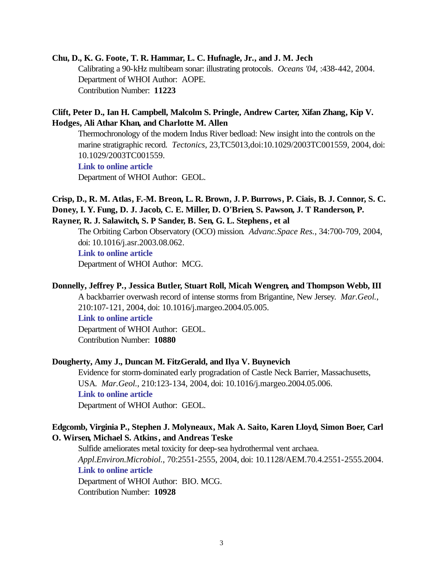## **Chu, D., K. G. Foote, T. R. Hammar, L. C. Hufnagle, Jr., and J. M. Jech**

Calibrating a 90-kHz multibeam sonar: illustrating protocols. *Oceans '04*, :438-442, 2004. Department of WHOI Author: AOPE. Contribution Number: **11223**

## **Clift, Peter D., Ian H. Campbell, Malcolm S. Pringle, Andrew Carter, Xifan Zhang, Kip V. Hodges, Ali Athar Khan, and Charlotte M. Allen**

Thermochronology of the modern Indus River bedload: New insight into the controls on the marine stratigraphic record. *Tectonics*, 23,TC5013,doi:10.1029/2003TC001559, 2004, doi: 10.1029/2003TC001559.

**[Link to online article](http://dx.doi.org/10.1029/2003TC001559)**

Department of WHOI Author: GEOL.

## **Crisp, D., R. M. Atlas, F.-M. Breon, L. R. Brown, J. P. Burrows, P. Ciais, B. J. Connor, S. C. Doney, I. Y. Fung, D. J. Jacob, C. E. Miller, D. O'Brien, S. Pawson, J. T Randerson, P. Rayner, R. J. Salawitch, S. P Sander, B. Sen, G. L. Stephens, et al**

The Orbiting Carbon Observatory (OCO) mission. *Advanc.Space Res.*, 34:700-709, 2004, doi: 10.1016/j.asr.2003.08.062. **[Link to online article](http://dx.doi.org/10.1016/j.asr.2003.08.062)**

Department of WHOI Author: MCG.

## **Donnelly, Jeffrey P., Jessica Butler, Stuart Roll, Micah Wengren, and Thompson Webb, III**

A backbarrier overwash record of intense storms from Brigantine, New Jersey. *Mar.Geol.*, 210:107-121, 2004, doi: 10.1016/j.margeo.2004.05.005.

**[Link to online article](http://dx.doi.org/10.1016/j.margeo.2004.05.005)**

Department of WHOI Author: GEOL. Contribution Number: **10880**

## **Dougherty, Amy J., Duncan M. FitzGerald, and Ilya V. Buynevich**

Evidence for storm-dominated early progradation of Castle Neck Barrier, Massachusetts, USA. *Mar.Geol.*, 210:123-134, 2004, doi: 10.1016/j.margeo.2004.05.006. **[Link to online article](http://dx.doi.org/10.1016/j.margeo.2004.05.006)**

Department of WHOI Author: GEOL.

## **Edgcomb, Virginia P., Stephen J. Molyneaux, Mak A. Saito, Karen Lloyd, Simon Boer, Carl O. Wirsen, Michael S. Atkins, and Andreas Teske**

Sulfide ameliorates metal toxicity for deep-sea hydrothermal vent archaea. *Appl.Environ.Microbiol.*, 70:2551-2555, 2004, doi: 10.1128/AEM.70.4.2551-2555.2004. **[Link to online article](http://dx.doi.org/10.1128/AEM.70.4.2551-2555.2004)** Department of WHOI Author: BIO. MCG. Contribution Number: **10928**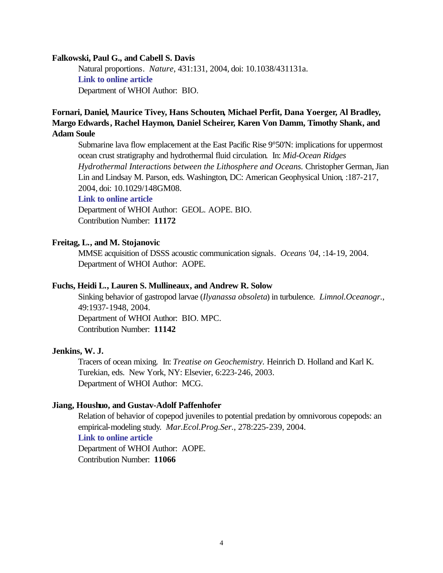### **Falkowski, Paul G., and Cabell S. Davis**

Natural proportions. *Nature*, 431:131, 2004, doi: 10.1038/431131a. **[Link to online article](http://dx.doi.org/10.1038/431131a)** Department of WHOI Author: BIO.

## **Fornari, Daniel, Maurice Tivey, Hans Schouten, Michael Perfit, Dana Yoerger, Al Bradley, Margo Edwards, Rachel Haymon, Daniel Scheirer, Karen Von Damm, Timothy Shank, and Adam Soule**

Submarine lava flow emplacement at the East Pacific Rise 9°50'N: implications for uppermost ocean crust stratigraphy and hydrothermal fluid circulation. In: *Mid-Ocean Ridges Hydrothermal Interactions between the Lithosphere and Oceans.* Christopher German, Jian Lin and Lindsay M. Parson, eds. Washington, DC: American Geophysical Union, :187-217, 2004, doi: 10.1029/148GM08.

## **[Link to online article](http://dx.doi.org/10.1029/148GM08)**

Department of WHOI Author: GEOL. AOPE. BIO. Contribution Number: **11172**

### **Freitag, L., and M. Stojanovic**

MMSE acquisition of DSSS acoustic communication signals. *Oceans '04*, :14-19, 2004. Department of WHOI Author: AOPE.

### **Fuchs, Heidi L., Lauren S. Mullineaux, and Andrew R. Solow**

Sinking behavior of gastropod larvae (*Ilyanassa obsoleta*) in turbulence. *Limnol.Oceanogr.*, 49:1937-1948, 2004. Department of WHOI Author: BIO. MPC. Contribution Number: **11142**

### **Jenkins, W. J.**

Tracers of ocean mixing*.* In: *Treatise on Geochemistry.* Heinrich D. Holland and Karl K. Turekian, eds. New York, NY: Elsevier, 6:223-246, 2003. Department of WHOI Author: MCG.

### **Jiang, Houshuo, and Gustav-Adolf Paffenhofer**

Relation of behavior of copepod juveniles to potential predation by omnivorous copepods: an empirical-modeling study. *Mar.Ecol.Prog.Ser.*, 278:225-239, 2004. **[Link to online article](http://www.int-res.com/articles/meps2004/278/m278p225.pdf)** Department of WHOI Author: AOPE. Contribution Number: **11066**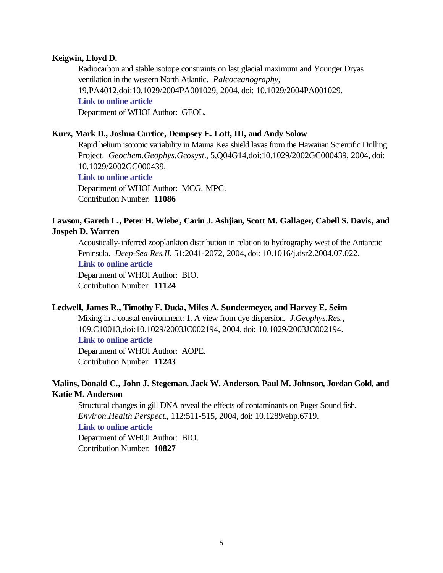### **Keigwin, Lloyd D.**

Radiocarbon and stable isotope constraints on last glacial maximum and Younger Dryas ventilation in the western North Atlantic. *Paleoceanography*, 19,PA4012,doi:10.1029/2004PA001029, 2004, doi: 10.1029/2004PA001029. **[Link to online article](http://dx.doi.org/10.1029/2004PA001029)** Department of WHOI Author: GEOL.

### **Kurz, Mark D., Joshua Curtice, Dempsey E. Lott, III, and Andy Solow**

Rapid helium isotopic variability in Mauna Kea shield lavas from the Hawaiian Scientific Drilling Project. *Geochem.Geophys.Geosyst.*, 5,Q04G14,doi:10.1029/2002GC000439, 2004, doi: 10.1029/2002GC000439. **[Link to online article](http://dx.doi.org/10.1029/2002GC000439)** Department of WHOI Author: MCG. MPC.

Contribution Number: **11086**

## **Lawson, Gareth L., Peter H. Wiebe, Carin J. Ashjian, Scott M. Gallager, Cabell S. Davis, and Jospeh D. Warren**

Acoustically-inferred zooplankton distribution in relation to hydrography west of the Antarctic Peninsula. *Deep-Sea Res.II*, 51:2041-2072, 2004, doi: 10.1016/j.dsr2.2004.07.022. **[Link to online article](http://dx.doi.org/10.1016/j.dsr2.2004.07.022)** Department of WHOI Author: BIO. Contribution Number: **11124**

### **Ledwell, James R., Timothy F. Duda, Miles A. Sundermeyer, and Harvey E. Seim**

Mixing in a coastal environment: 1. A view from dye dispersion. *J.Geophys.Res.*, 109,C10013,doi:10.1029/2003JC002194, 2004, doi: 10.1029/2003JC002194. **[Link to online article](http://dx.doi.org/10.1029/2003JC002194)**

Department of WHOI Author: AOPE. Contribution Number: **11243**

## **Malins, Donald C., John J. Stegeman, Jack W. Anderson, Paul M. Johnson, Jordan Gold, and Katie M. Anderson**

Structural changes in gill DNA reveal the effects of contaminants on Puget Sound fish. *Environ.Health Perspect.*, 112:511-515, 2004, doi: 10.1289/ehp.6719. **[Link to online article](http://dx.doi.org/10.1289/ehp.6719)** Department of WHOI Author: BIO.

Contribution Number: **10827**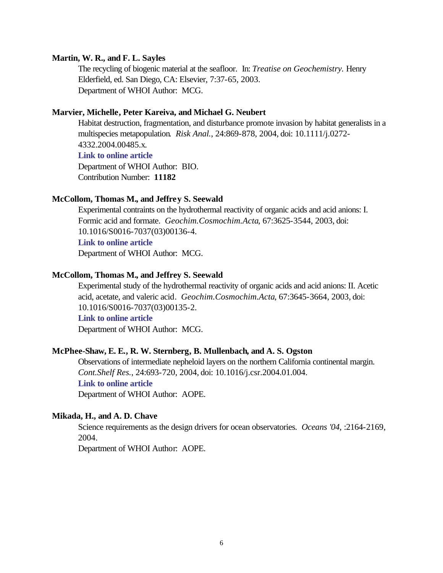### **Martin, W. R., and F. L. Sayles**

The recycling of biogenic material at the seafloor. In: *Treatise on Geochemistry.* Henry Elderfield, ed. San Diego, CA: Elsevier, 7:37-65, 2003. Department of WHOI Author: MCG.

### **Marvier, Michelle, Peter Kareiva, and Michael G. Neubert**

Habitat destruction, fragmentation, and disturbance promote invasion by habitat generalists in a multispecies metapopulation. *Risk Anal.*, 24:869-878, 2004, doi: 10.1111/j.0272- 4332.2004.00485.x.

## **[Link to online article](http://dx.doi.org/10.1111/j.0272-4332.2004.00485.x)**

Department of WHOI Author: BIO. Contribution Number: **11182**

## **McCollom, Thomas M., and Jeffrey S. Seewald**

Experimental contraints on the hydrothermal reactivity of organic acids and acid anions: I. Formic acid and formate. *Geochim.Cosmochim.Acta*, 67:3625-3544, 2003, doi: 10.1016/S0016-7037(03)00136-4.

### **[Link to online article](http://dx.doi.org/10.1016/S0016-7037(03)00136-4)**

Department of WHOI Author: MCG.

### **McCollom, Thomas M., and Jeffrey S. Seewald**

Experimental study of the hydrothermal reactivity of organic acids and acid anions: II. Acetic acid, acetate, and valeric acid. *Geochim.Cosmochim.Acta*, 67:3645-3664, 2003, doi: 10.1016/S0016-7037(03)00135-2.

### **[Link to online article](http://dx.doi.org/10.1016/S0016-7037(03)00135-2)**

Department of WHOI Author: MCG.

## **McPhee-Shaw, E. E., R. W. Sternberg, B. Mullenbach, and A. S. Ogston**

Observations of intermediate nepheloid layers on the northern California continental margin. *Cont.Shelf Res.*, 24:693-720, 2004, doi: 10.1016/j.csr.2004.01.004. **[Link to online article](http://dx.doi.org/10.1016/j.csr.2004.01.004)** Department of WHOI Author: AOPE.

### **Mikada, H., and A. D. Chave**

Science requirements as the design drivers for ocean observatories. *Oceans '04*, :2164-2169, 2004.

Department of WHOI Author: AOPE.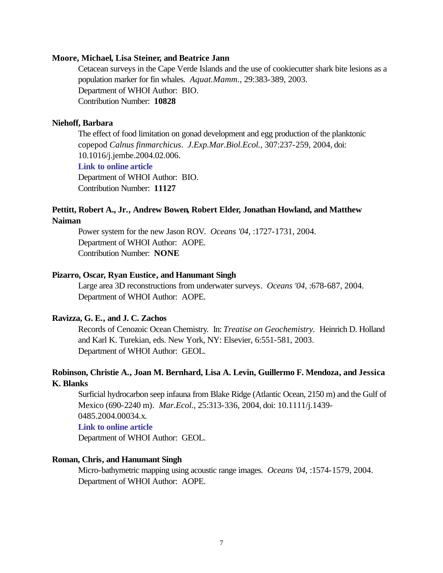### **Moore, Michael, Lisa Steiner, and Beatrice Jann**

Cetacean surveys in the Cape Verde Islands and the use of cookiecutter shark bite lesions as a population marker for fin whales. *Aquat.Mamm.*, 29:383-389, 2003. Department of WHOI Author: BIO. Contribution Number: **10828**

### **Niehoff, Barbara**

The effect of food limitation on gonad development and egg production of the planktonic copepod *Calnus finmarchicus*. *J.Exp.Mar.Biol.Ecol.*, 307:237-259, 2004, doi: 10.1016/j.jembe.2004.02.006.

### **[Link to online article](http://dx.doi.org/10.1016/j.jembe.2004.02.006)**

Department of WHOI Author: BIO. Contribution Number: **11127**

### **Pettitt, Robert A., Jr., Andrew Bowen, Robert Elder, Jonathan Howland, and Matthew Naiman**

Power system for the new Jason ROV. *Oceans '04*, :1727-1731, 2004. Department of WHOI Author: AOPE. Contribution Number: **NONE**

### **Pizarro, Oscar, Ryan Eustice, and Hanumant Singh**

Large area 3D reconstructions from underwater surveys. *Oceans '04*, :678-687, 2004. Department of WHOI Author: AOPE.

### **Ravizza, G. E., and J. C. Zachos**

Records of Cenozoic Ocean Chemistry. In: *Treatise on Geochemistry.* Heinrich D. Holland and Karl K. Turekian, eds. New York, NY: Elsevier, 6:551-581, 2003. Department of WHOI Author: GEOL.

### **Robinson, Christie A., Joan M. Bernhard, Lisa A. Levin, Guillermo F. Mendoza, and Jessica K. Blanks**

Surficial hydrocarbon seep infauna from Blake Ridge (Atlantic Ocean, 2150 m) and the Gulf of Mexico (690-2240 m). *Mar.Ecol.*, 25:313-336, 2004, doi: 10.1111/j.1439- 0485.2004.00034.x.

### **[Link to online article](http://dx.doi.org/10.1111/j.1439-0485.2004.00034.x)**

Department of WHOI Author: GEOL.

### **Roman, Chris, and Hanumant Singh**

Micro-bathymetric mapping using acoustic range images. *Oceans '04*, :1574-1579, 2004. Department of WHOI Author: AOPE.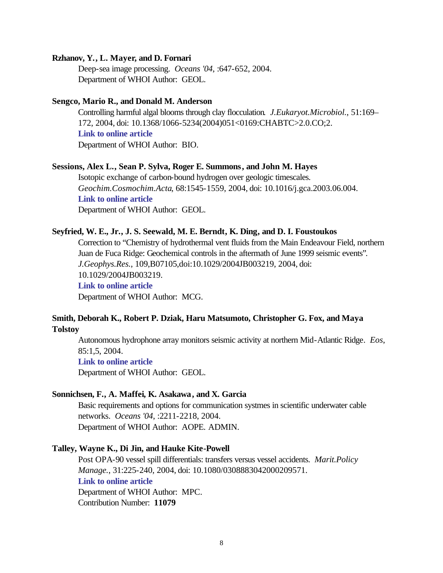### **Rzhanov, Y., L. Mayer, and D. Fornari**

Deep-sea image processing. *Oceans '04*, :647-652, 2004. Department of WHOI Author: GEOL.

#### **Sengco, Mario R., and Donald M. Anderson**

Controlling harmful algal blooms through clay flocculation. *J.Eukaryot.Microbiol.*, 51:169– 172, 2004, doi: 10.1368/1066-5234(2004)051<0169:CHABTC>2.0.CO;2. **[Link to online article](http://dx.doi.org/10.1368/1066-5234(2004)051<0169:CHABTC>2.0.CO;2)** Department of WHOI Author: BIO.

### **Sessions, Alex L., Sean P. Sylva, Roger E. Summons, and John M. Hayes**

Isotopic exchange of carbon-bound hydrogen over geologic timescales. *Geochim.Cosmochim.Acta*, 68:1545-1559, 2004, doi: 10.1016/j.gca.2003.06.004. **[Link to online article](http://dx.doi.org/10.1016/j.gca.2003.06.004)** Department of WHOI Author: GEOL.

### **Seyfried, W. E., Jr., J. S. Seewald, M. E. Berndt, K. Ding, and D. I. Foustoukos**

Correction to "Chemistry of hydrothermal vent fluids from the Main Endeavour Field, northern Juan de Fuca Ridge: Geochemical controls in the aftermath of June 1999 seismic events". *J.Geophys.Res.*, 109,B07105,doi:10.1029/2004JB003219, 2004, doi: 10.1029/2004JB003219. **[Link to online article](http://dx.doi.org/10.1029/2004JB003219)**

Department of WHOI Author: MCG.

## **Smith, Deborah K., Robert P. Dziak, Haru Matsumoto, Christopher G. Fox, and Maya Tolstoy**

Autonomous hydrophone array monitors seismic activity at northern Mid-Atlantic Ridge. *Eos*, 85:1,5, 2004.

**[Link to online article](http://www.agu.org/journals/eo/eo0401/2004EO010001.pdf#anchor)**

Department of WHOI Author: GEOL.

### **Sonnichsen, F., A. Maffei, K. Asakawa, and X. Garcia**

Basic requirements and options for communication systmes in scientific underwater cable networks. *Oceans '04*, :2211-2218, 2004. Department of WHOI Author: AOPE. ADMIN.

#### **Talley, Wayne K., Di Jin, and Hauke Kite-Powell**

Post OPA-90 vessel spill differentials: transfers versus vessel accidents. *Marit.Policy Manage.*, 31:225-240, 2004, doi: 10.1080/0308883042000209571. **[Link to online article](http://dx.doi.org/10.1080/0308883042000209571)** Department of WHOI Author: MPC. Contribution Number: **11079**